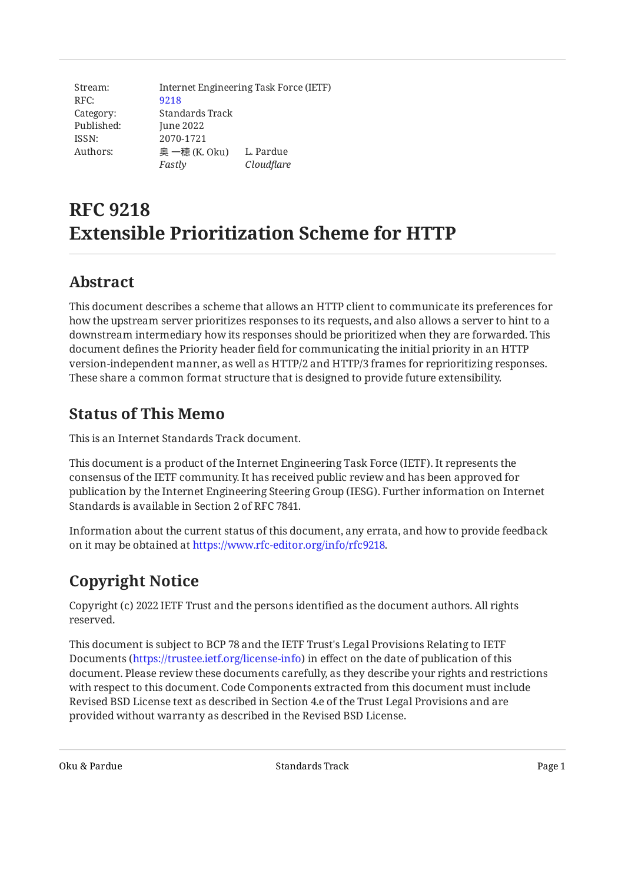Stream: RFC: Category: Published: ISSN: Authors: Internet Engineering Task Force (IETF) [9218](https://www.rfc-editor.org/rfc/rfc9218) Standards Track June 2022 2070-1721 奥 一穂 (K. Oku) L. Pardue *Fastly Cloudflare*

# **RFC 9218 Extensible Prioritization Scheme for HTTP**

# <span id="page-0-0"></span>**[Abstract](#page-0-0)**

This document describes a scheme that allows an HTTP client to communicate its preferences for how the upstream server prioritizes responses to its requests, and also allows a server to hint to a downstream intermediary how its responses should be prioritized when they are forwarded. This document defines the Priority header field for communicating the initial priority in an HTTP version-independent manner, as well as HTTP/2 and HTTP/3 frames for reprioritizing responses. These share a common format structure that is designed to provide future extensibility.

# <span id="page-0-1"></span>**[Status of This Memo](#page-0-1)**

This is an Internet Standards Track document.

This document is a product of the Internet Engineering Task Force (IETF). It represents the consensus of the IETF community. It has received public review and has been approved for publication by the Internet Engineering Steering Group (IESG). Further information on Internet Standards is available in Section 2 of RFC 7841.

Information about the current status of this document, any errata, and how to provide feedback on it may be obtained at [https://www.rfc-editor.org/info/rfc9218.](https://www.rfc-editor.org/info/rfc9218)

# <span id="page-0-2"></span>**[Copyright Notice](#page-0-2)**

Copyright (c) 2022 IETF Trust and the persons identified as the document authors. All rights reserved.

This document is subject to BCP 78 and the IETF Trust's Legal Provisions Relating to IETF Documents (<https://trustee.ietf.org/license-info>) in effect on the date of publication of this document. Please review these documents carefully, as they describe your rights and restrictions with respect to this document. Code Components extracted from this document must include Revised BSD License text as described in Section 4.e of the Trust Legal Provisions and are provided without warranty as described in the Revised BSD License.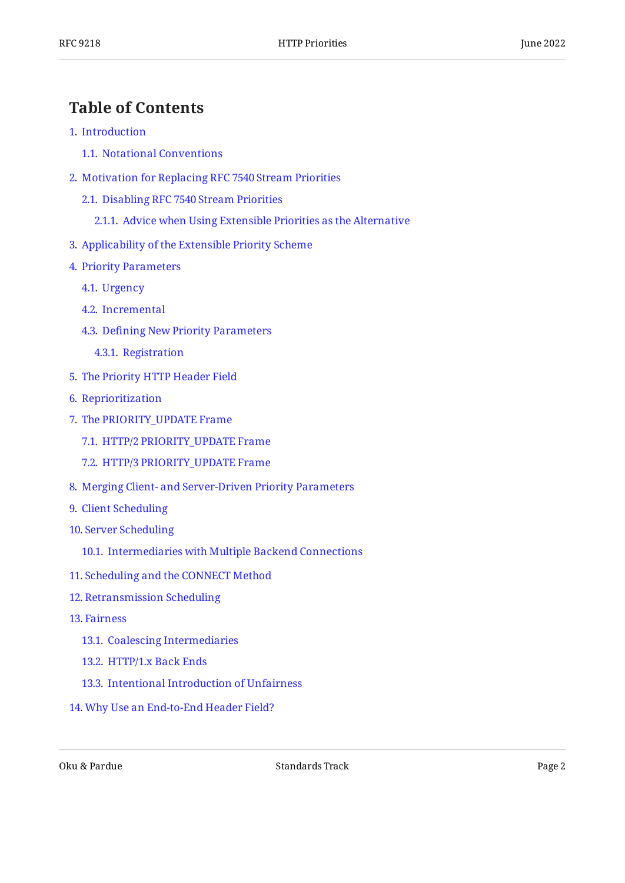#### <span id="page-1-0"></span>**[Table of Contents](#page-1-0)**

- [1](#page-2-0). [Introduction](#page-2-0)
	- [1.1.](#page-3-0) [Notational Conventions](#page-3-0)
- [2](#page-3-1). [Motivation for Replacing RFC 7540 Stream Priorities](#page-3-1)
	- [2.1.](#page-4-0) [Disabling RFC 7540 Stream Priorities](#page-4-0)
		- [2.1.1](#page-5-0). [Advice when Using Extensible Priorities as the Alternative](#page-5-0)
- [3](#page-5-1). [Applicability of the Extensible Priority Scheme](#page-5-1)
- [4](#page-5-2). [Priority Parameters](#page-5-2)
	- [4.1.](#page-6-0) [Urgency](#page-6-0)
	- [4.2.](#page-7-0) [Incremental](#page-7-0)
	- [4.3.](#page-7-1) Defi[ning New Priority Parameters](#page-7-1)
		- [4.3.1](#page-8-0). [Registration](#page-8-0)
- [5](#page-8-1). [The Priority HTTP Header Field](#page-8-1)
- [6](#page-9-0). [Reprioritization](#page-9-0)
- [7](#page-9-1). [The PRIORITY\\_UPDATE Frame](#page-9-1)
	- [7.1.](#page-10-0) [HTTP/2 PRIORITY\\_UPDATE Frame](#page-10-0)
	- [7.2.](#page-11-0) [HTTP/3 PRIORITY\\_UPDATE Frame](#page-11-0)
- [8](#page-12-0). [Merging Client- and Server-Driven Priority Parameters](#page-12-0)
- [9](#page-13-0). [Client Scheduling](#page-13-0)
- [10](#page-13-1). [Server Scheduling](#page-13-1)
	- [10.1.](#page-14-0) [Intermediaries with Multiple Backend Connections](#page-14-0)
- [11](#page-15-0). [Scheduling and the CONNECT Method](#page-15-0)
- [12](#page-15-1). [Retransmission Scheduling](#page-15-1)
- [13](#page-15-2). [Fairness](#page-15-2)
	- [13.1.](#page-16-0) [Coalescing Intermediaries](#page-16-0)
	- [13.2.](#page-16-1) [HTTP/1.x Back Ends](#page-16-1)
	- [13.3.](#page-16-2) [Intentional Introduction of Unfairness](#page-16-2)
- [14](#page-17-0). [Why Use an End-to-End Header Field?](#page-17-0)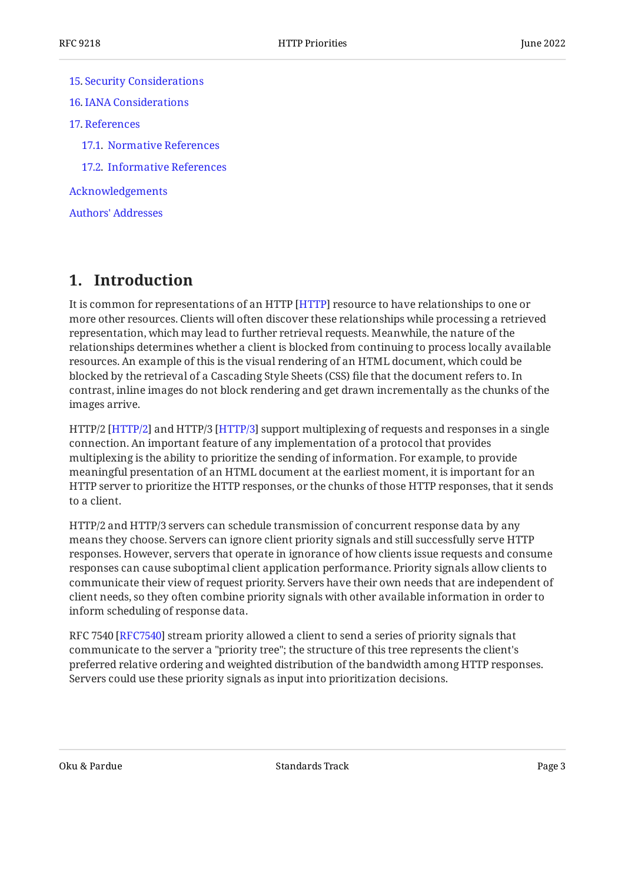[15](#page-17-1). [Security Considerations](#page-17-1) [16](#page-17-2). [IANA Considerations](#page-17-2) [17](#page-18-0). [References](#page-18-0) [17.1.](#page-18-1) [Normative References](#page-18-1) [17.2.](#page-19-0) [Informative References](#page-19-0) [Acknowledgements](#page-20-0) [Authors' Addresses](#page-20-1)

### <span id="page-2-0"></span>**[1. Introduction](#page-2-0)**

It is common for representations of an HTTP [HTTP] resource to have relationships to one or more other resources. Clients will often discover these relationships while processing a retrieved representation, which may lead to further retrieval requests. Meanwhile, the nature of the relationships determines whether a client is blocked from continuing to process locally available resources. An example of this is the visual rendering of an HTML document, which could be blocked by the retrieval of a Cascading Style Sheets (CSS) file that the document refers to. In contrast, inline images do not block rendering and get drawn incrementally as the chunks of the images arrive.

HTTP/2 [HTTP/2] and HTTP/3 [HTTP/3] support multiplexing of requests and responses in a single connection. An important feature of any implementation of a protocol that provides multiplexing is the ability to prioritize the sending of information. For example, to provide meaningful presentation of an HTML document at the earliest moment, it is important for an HTTP server to prioritize the HTTP responses, or the chunks of those HTTP responses, that it sends to a client.

HTTP/2 and HTTP/3 servers can schedule transmission of concurrent response data by any means they choose. Servers can ignore client priority signals and still successfully serve HTTP responses. However, servers that operate in ignorance of how clients issue requests and consume responses can cause suboptimal client application performance. Priority signals allow clients to communicate their view of request priority. Servers have their own needs that are independent of client needs, so they often combine priority signals with other available information in order to inform scheduling of response data.

RFC 7540 [[RFC7540\]](#page-19-2) stream priority allowed a client to send a series of priority signals that communicate to the server a "priority tree"; the structure of this tree represents the client's preferred relative ordering and weighted distribution of the bandwidth among HTTP responses. Servers could use these priority signals as input into prioritization decisions.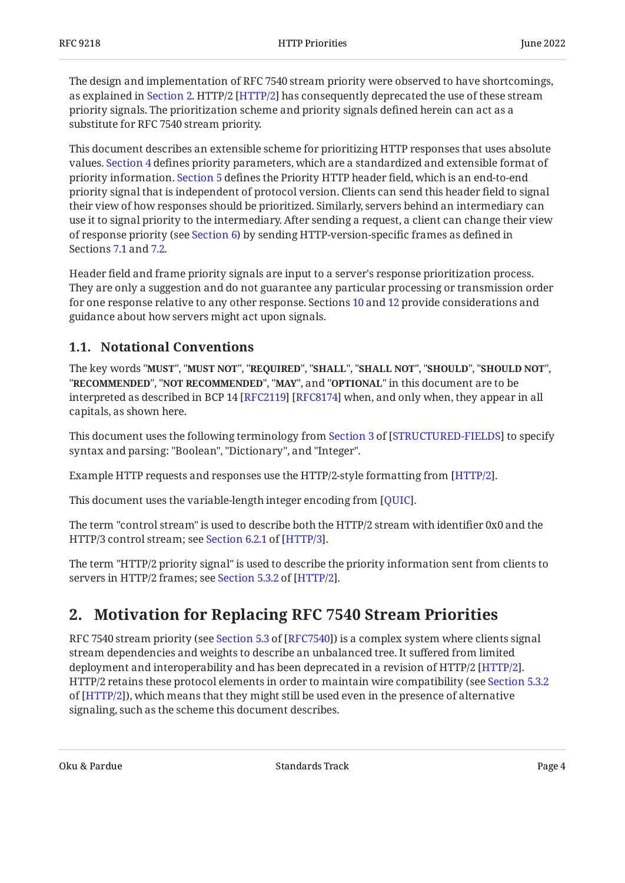The design and implementation of RFC 7540 stream priority were observed to have shortcomings, as explained in [Section 2.](#page-3-1) HTTP/2 [HTTP/2] has consequently deprecated the use of these stream priority signals. The prioritization scheme and priority signals defined herein can act as a substitute for RFC 7540 stream priority.

This document describes an extensible scheme for prioritizing HTTP responses that uses absolute values. [Section 4](#page-5-2) defines priority parameters, which are a standardized and extensible format of priority information. [Section 5](#page-8-1) defines the Priority HTTP header field, which is an end-to-end priority signal that is independent of protocol version. Clients can send this header field to signal their view of how responses should be prioritized. Similarly, servers behind an intermediary can use it to signal priority to the intermediary. After sending a request, a client can change their view of response priority (see [Section 6\)](#page-9-0) by sending HTTP-version-specific frames as defined in Sections [7.1](#page-10-0) and [7.2.](#page-11-0)

Header field and frame priority signals are input to a server's response prioritization process. They are only a suggestion and do not guarantee any particular processing or transmission order for one response relative to any other response. Sections [10](#page-13-1) and [12](#page-15-1) provide considerations and guidance about how servers might act upon signals.

#### <span id="page-3-0"></span>**[1.1. Notational Conventions](#page-3-0)**

The key words "MUST", "MUST NOT", "REQUIRED", "SHALL", "SHALL NOT", "SHOULD", "SHOULD NOT", "**RECOMMENDED", "NOT RECOMMENDED", "MAY",** and "OPTIONAL" in this document are to be interpreted as described in BCP 14 [RFC2119] [RFC8174] when, and only when, they appear in all capitals, as shown here.

Thisdocument uses the following terminology from Section 3 of [STRUCTURED-FIELDS] to specify syntax and parsing: "Boolean", "Dictionary", and "Integer".

Example HTTP requests and responses use the HTTP/2-style formatting from [\[HTTP/2](#page-18-3)].  $\,$ 

This document uses the variable-length integer encoding from [[QUIC\]](#page-19-6).  $\,$ 

The term "control stream" is used to describe both the HTTP/2 stream with identifier 0x0 and the HTTP/3control stream; see Section 6.2.1 of [HTTP/3].

<span id="page-3-1"></span>The term "HTTP/2 priority signal" is used to describe the priority information sent from clients to serversin HTTP/2 frames; see Section 5.3.2 of [HTTP/2].

### **[2. Motivation for Replacing RFC 7540 Stream Priorities](#page-3-1)**

RFC7540 stream priority (see Section 5.3 of [RFC7540]) is a complex system where clients signal stream dependencies and weights to describe an unbalanced tree. It suffered from limited deployment and interoperability and has been deprecated in a revision of HTTP/2 [HTTP/2].  $\,$ HTTP/2 retains these protocol elements in order to maintain wire compatibility (see [Section 5.3.2](https://www.rfc-editor.org/rfc/rfc9113#section-5.3.2) of [[HTTP/2](#page-18-3)]), which means that they might still be used even in the presence of alternative signaling, such as the scheme this document describes.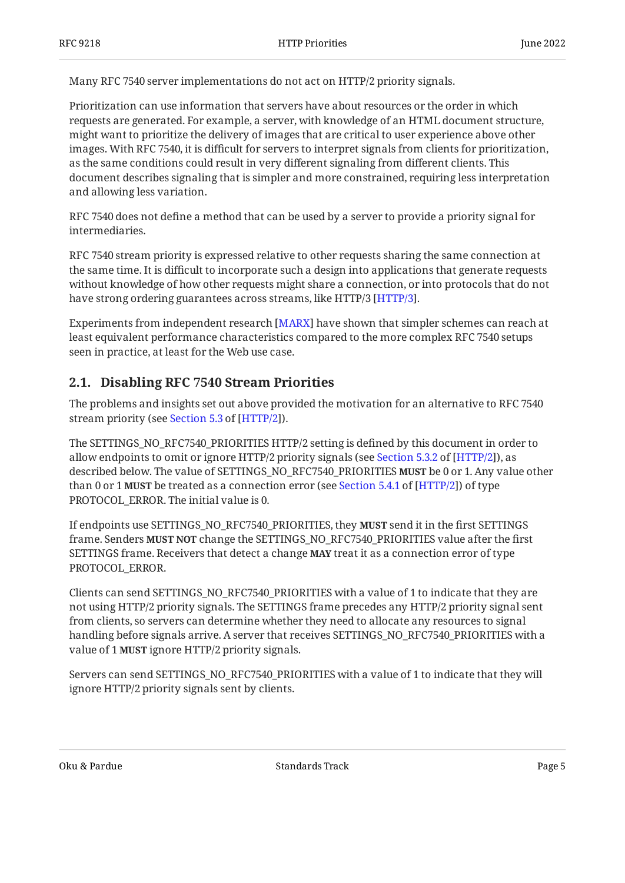Many RFC 7540 server implementations do not act on HTTP/2 priority signals.

Prioritization can use information that servers have about resources or the order in which requests are generated. For example, a server, with knowledge of an HTML document structure, might want to prioritize the delivery of images that are critical to user experience above other images. With RFC 7540, it is difficult for servers to interpret signals from clients for prioritization, as the same conditions could result in very different signaling from different clients. This document describes signaling that is simpler and more constrained, requiring less interpretation and allowing less variation.

RFC 7540 does not define a method that can be used by a server to provide a priority signal for intermediaries.

RFC 7540 stream priority is expressed relative to other requests sharing the same connection at the same time. It is difficult to incorporate such a design into applications that generate requests without knowledge of how other requests might share a connection, or into protocols that do not have strong ordering guarantees across streams, like HTTP/3 [\[HTTP/3](#page-19-1)].

Experiments from independent research [MARX] have shown that simpler schemes can reach at least equivalent performance characteristics compared to the more complex RFC 7540 setups seen in practice, at least for the Web use case.

#### <span id="page-4-0"></span>**[2.1. Disabling RFC 7540 Stream Priorities](#page-4-0)**

The problems and insights set out above provided the motivation for an alternative to RFC 7540 streampriority (see Section 5.3 of [HTTP/2]).

The SETTINGS\_NO\_RFC7540\_PRIORITIES HTTP/2 setting is defined by this document in order to allowendpoints to omit or ignore HTTP/2 priority signals (see Section 5.3.2 of [HTTP/2]), as described below. The value of SETTINGS\_NO\_RFC7540\_PRIORITIES **MUST** be 0 or 1. Any value other than0 or 1 **MUST** be treated as a connection error (see Section 5.4.1 of [HTTP/2]) of type PROTOCOL ERROR. The initial value is 0.

If endpoints use SETTINGS\_NO\_RFC7540\_PRIORITIES, they **MUST** send it in the first SETTINGS frame. Senders **MUST NOT** change the SETTINGS\_NO\_RFC7540\_PRIORITIES value after the first SETTINGS frame. Receivers that detect a change **MAY** treat it as a connection error of type PROTOCOL\_ERROR.

Clients can send SETTINGS\_NO\_RFC7540\_PRIORITIES with a value of 1 to indicate that they are not using HTTP/2 priority signals. The SETTINGS frame precedes any HTTP/2 priority signal sent from clients, so servers can determine whether they need to allocate any resources to signal handling before signals arrive. A server that receives SETTINGS\_NO\_RFC7540\_PRIORITIES with a value of 1 **MUST** ignore HTTP/2 priority signals.

Servers can send SETTINGS\_NO\_RFC7540\_PRIORITIES with a value of 1 to indicate that they will ignore HTTP/2 priority signals sent by clients.

Oku & Pardue Standards Track Page 5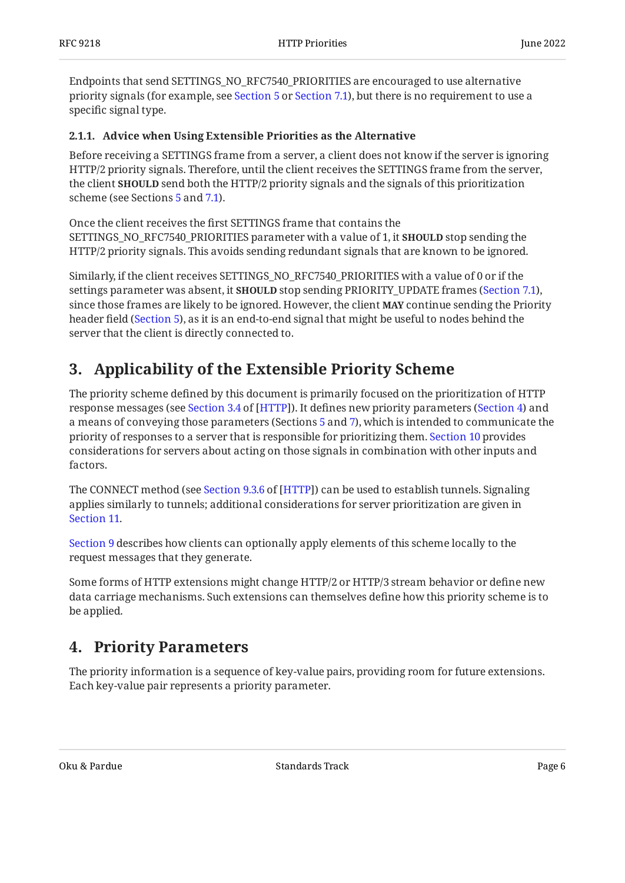Endpoints that send SETTINGS\_NO\_RFC7540\_PRIORITIES are encouraged to use alternative priority signals (for example, see [Section 5](#page-8-1) or [Section 7.1](#page-10-0)), but there is no requirement to use a specific signal type.

#### <span id="page-5-0"></span>**[2.1.1. Advice when Using Extensible Priorities as the Alternative](#page-5-0)**

Before receiving a SETTINGS frame from a server, a client does not know if the server is ignoring HTTP/2 priority signals. Therefore, until the client receives the SETTINGS frame from the server, the client **SHOULD** send both the HTTP/2 priority signals and the signals of this prioritization scheme (see Sections [5](#page-8-1) and [7.1\)](#page-10-0).

Once the client receives the first SETTINGS frame that contains the SETTINGS\_NO\_RFC7540\_PRIORITIES parameter with a value of 1, it **SHOULD** stop sending the HTTP/2 priority signals. This avoids sending redundant signals that are known to be ignored.

Similarly, if the client receives SETTINGS\_NO\_RFC7540\_PRIORITIES with a value of 0 or if the settings parameter was absent, it **SHOULD** stop sending PRIORITY\_UPDATE frames [\(Section 7.1](#page-10-0)), since those frames are likely to be ignored. However, the client **MAY** continue sending the Priority header field ([Section 5\)](#page-8-1), as it is an end-to-end signal that might be useful to nodes behind the server that the client is directly connected to.

### <span id="page-5-1"></span>**[3. Applicability of the Extensible Priority Scheme](#page-5-1)**

The priority scheme defined by this document is primarily focused on the prioritization of HTTP responsemessages (see Section 3.4 of [HTTP]). It defines new priority parameters ([Section 4\)](#page-5-2) and a means of conveying those parameters (Sections [5](#page-8-1) and [7](#page-9-1)), which is intended to communicate the priority of responses to a server that is responsible for prioritizing them. [Section 10](#page-13-1) provides considerations for servers about acting on those signals in combination with other inputs and factors.

TheCONNECT method (see Section 9.3.6 of [HTTP]) can be used to establish tunnels. Signaling applies similarly to tunnels; additional considerations for server prioritization are given in [Section 11.](#page-15-0)

[Section 9](#page-13-0) describes how clients can optionally apply elements of this scheme locally to the request messages that they generate.

Some forms of HTTP extensions might change HTTP/2 or HTTP/3 stream behavior or define new data carriage mechanisms. Such extensions can themselves define how this priority scheme is to be applied.

### <span id="page-5-2"></span>**[4. Priority Parameters](#page-5-2)**

The priority information is a sequence of key-value pairs, providing room for future extensions. Each key-value pair represents a priority parameter.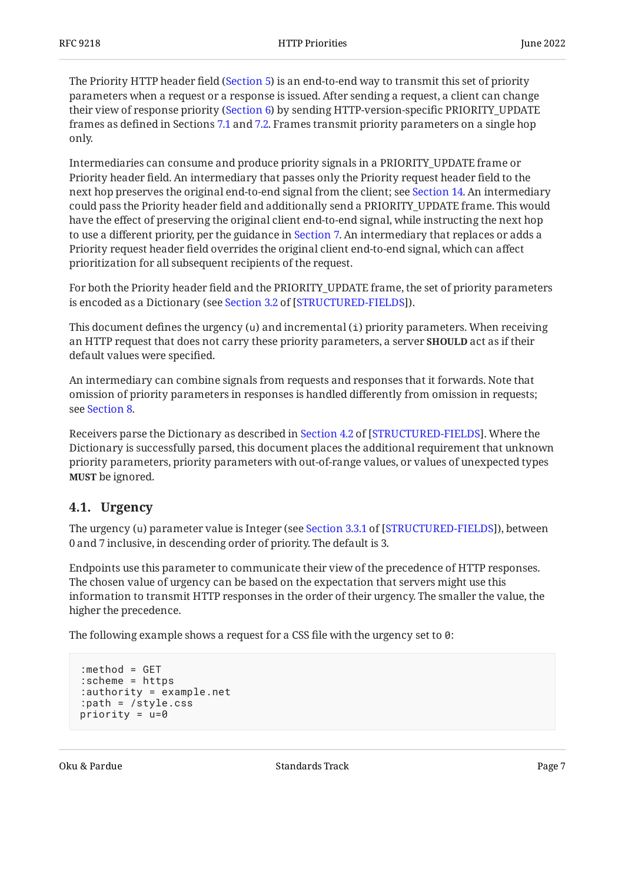The Priority HTTP header field ([Section 5\)](#page-8-1) is an end-to-end way to transmit this set of priority parameters when a request or a response is issued. After sending a request, a client can change their view of response priority ([Section 6\)](#page-9-0) by sending HTTP-version-specific PRIORITY\_UPDATE frames as defined in Sections [7.1](#page-10-0) and [7.2.](#page-11-0) Frames transmit priority parameters on a single hop only.

Intermediaries can consume and produce priority signals in a PRIORITY\_UPDATE frame or Priority header field. An intermediary that passes only the Priority request header field to the next hop preserves the original end-to-end signal from the client; see [Section 14.](#page-17-0) An intermediary could pass the Priority header field and additionally send a PRIORITY\_UPDATE frame. This would have the effect of preserving the original client end-to-end signal, while instructing the next hop to use a different priority, per the guidance in [Section 7](#page-9-1). An intermediary that replaces or adds a Priority request header field overrides the original client end-to-end signal, which can affect prioritization for all subsequent recipients of the request.

For both the Priority header field and the PRIORITY\_UPDATE frame, the set of priority parameters isencoded as a Dictionary (see Section 3.2 of [STRUCTURED-FIELDS]).

This document defines the urgency (u) and incremental (i) priority parameters. When receiving an HTTP request that does not carry these priority parameters, a server **SHOULD** act as if their default values were specified.

An intermediary can combine signals from requests and responses that it forwards. Note that omission of priority parameters in responses is handled differently from omission in requests; see [Section 8.](#page-12-0)

Receiversparse the Dictionary as described in Section 4.2 of [STRUCTURED-FIELDS]. Where the Dictionary is successfully parsed, this document places the additional requirement that unknown priority parameters, priority parameters with out-of-range values, or values of unexpected types **MUST** be ignored.

#### <span id="page-6-0"></span>**[4.1. Urgency](#page-6-0)**

Theurgency (u) parameter value is Integer (see Section 3.3.1 of [STRUCTURED-FIELDS]), between 0 and 7 inclusive, in descending order of priority. The default is 3.

Endpoints use this parameter to communicate their view of the precedence of HTTP responses. The chosen value of urgency can be based on the expectation that servers might use this information to transmit HTTP responses in the order of their urgency. The smaller the value, the higher the precedence.

The following example shows a request for a CSS file with the urgency set to 0:

```
:method = GET
:scheme = https
:authority = example.net
:path = /style.css
priority = u=0
```
Oku & Pardue Standards Track Page 7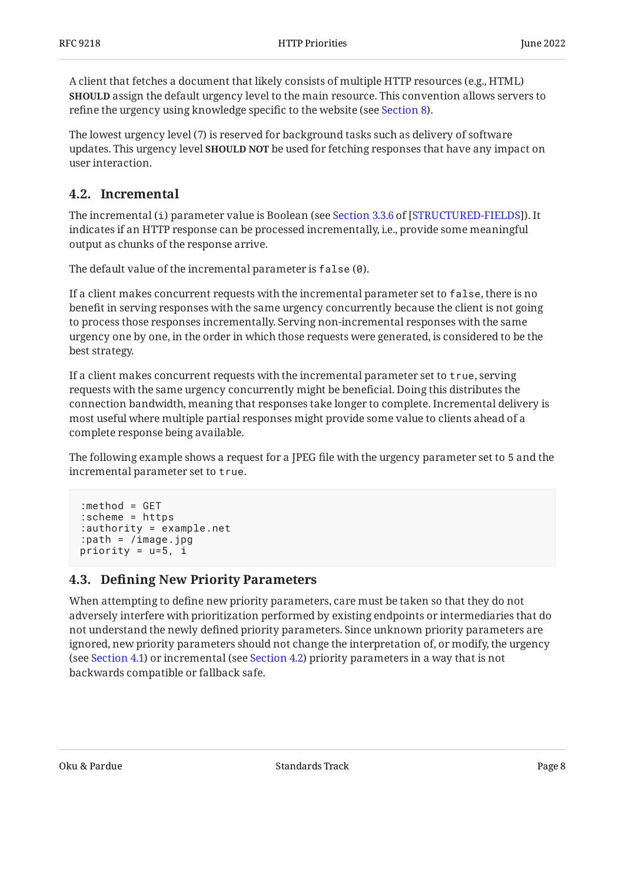A client that fetches a document that likely consists of multiple HTTP resources (e.g., HTML) **SHOULD** assign the default urgency level to the main resource. This convention allows servers to refine the urgency using knowledge specific to the website (see [Section 8\)](#page-12-0).

The lowest urgency level (7) is reserved for background tasks such as delivery of software updates. This urgency level **SHOULD NOT** be used for fetching responses that have any impact on user interaction.

#### <span id="page-7-0"></span>**[4.2. Incremental](#page-7-0)**

Theincremental (i) parameter value is Boolean (see Section 3.3.6 of [STRUCTURED-FIELDS]). It indicates if an HTTP response can be processed incrementally, i.e., provide some meaningful output as chunks of the response arrive.

The default value of the incremental parameter is false (0).

If a client makes concurrent requests with the incremental parameter set to false, there is no benefit in serving responses with the same urgency concurrently because the client is not going to process those responses incrementally. Serving non-incremental responses with the same urgency one by one, in the order in which those requests were generated, is considered to be the best strategy.

If a client makes concurrent requests with the incremental parameter set to true, serving requests with the same urgency concurrently might be beneficial. Doing this distributes the connection bandwidth, meaning that responses take longer to complete. Incremental delivery is most useful where multiple partial responses might provide some value to clients ahead of a complete response being available.

The following example shows a request for a JPEG file with the urgency parameter set to 5 and the incremental parameter set to true.

```
:method = GET
:scheme = https
:authority = example.net
:path = /image.jpg
priority = u=5, i
```
#### <span id="page-7-1"></span>**[4.3. D](#page-7-1)efi[ning New Priority Parameters](#page-7-1)**

When attempting to define new priority parameters, care must be taken so that they do not adversely interfere with prioritization performed by existing endpoints or intermediaries that do not understand the newly defined priority parameters. Since unknown priority parameters are ignored, new priority parameters should not change the interpretation of, or modify, the urgency (see [Section 4.1](#page-6-0)) or incremental (see [Section 4.2](#page-7-0)) priority parameters in a way that is not backwards compatible or fallback safe.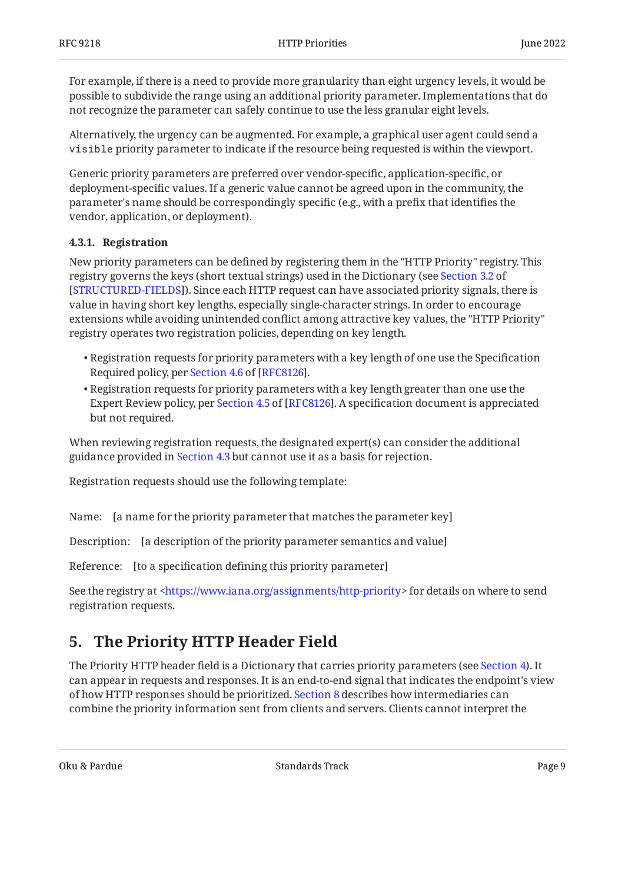For example, if there is a need to provide more granularity than eight urgency levels, it would be possible to subdivide the range using an additional priority parameter. Implementations that do not recognize the parameter can safely continue to use the less granular eight levels.

Alternatively, the urgency can be augmented. For example, a graphical user agent could send a visible priority parameter to indicate if the resource being requested is within the viewport.

Generic priority parameters are preferred over vendor-specific, application-specific, or deployment-specific values. If a generic value cannot be agreed upon in the community, the parameter's name should be correspondingly specific (e.g., with a prefix that identifies the vendor, application, or deployment).

#### <span id="page-8-0"></span>**[4.3.1. Registration](#page-8-0)**

New priority parameters can be defined by registering them in the "HTTP Priority" registry. This registry governs the keys (short textual strings) used in the Dictionary (see [Section 3.2](https://www.rfc-editor.org/rfc/rfc8941#section-3.2) of [[STRUCTURED-FIELDS\]](#page-19-5)). Since each HTTP request can have associated priority signals, there is value in having short key lengths, especially single-character strings. In order to encourage extensions while avoiding unintended conflict among attractive key values, the "HTTP Priority" registry operates two registration policies, depending on key length.

- $\bullet$  Registration requests for priority parameters with a key length of one use the Specification Requiredpolicy, per Section 4.6 of [RFC8126].
- $\bullet$  Registration requests for priority parameters with a key length greater than one use the ExpertReview policy, per Section 4.5 of [RFC8126]. A specification document is appreciated but not required.

When reviewing registration requests, the designated expert(s) can consider the additional guidance provided in [Section 4.3](#page-7-1) but cannot use it as a basis for rejection.

Registration requests should use the following template:

Name: [a name for the priority parameter that matches the parameter key]

Description: [a description of the priority parameter semantics and value]

Reference: [to a specification defining this priority parameter]

<span id="page-8-1"></span>See the registry at [<https://www.iana.org/assignments/http-priority](https://www.iana.org/assignments/http-priority)> for details on where to send registration requests.

### **[5. The Priority HTTP Header Field](#page-8-1)**

The Priority HTTP header field is a Dictionary that carries priority parameters (see [Section 4\)](#page-5-2). It can appear in requests and responses. It is an end-to-end signal that indicates the endpoint's view of how HTTP responses should be prioritized. [Section 8](#page-12-0) describes how intermediaries can combine the priority information sent from clients and servers. Clients cannot interpret the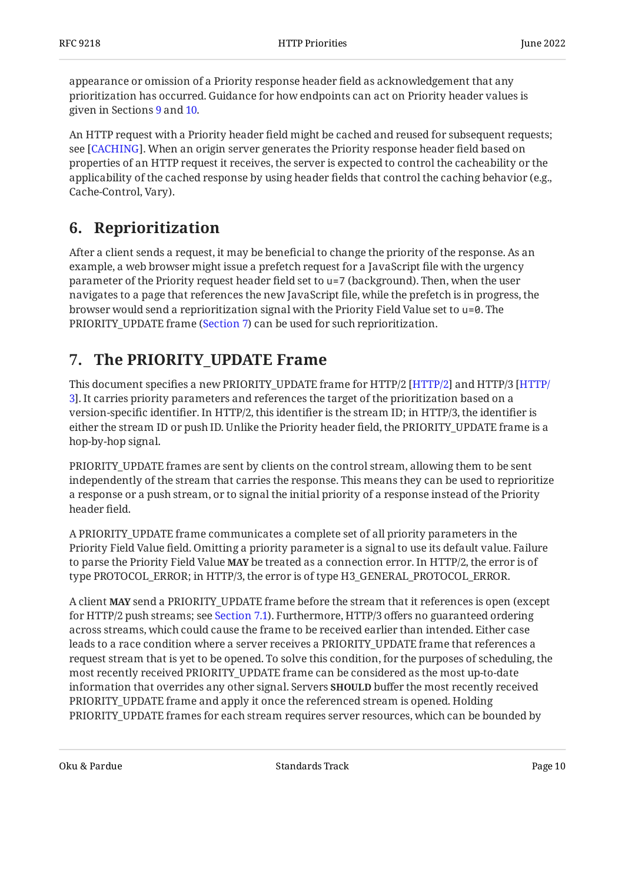appearance or omission of a Priority response header field as acknowledgement that any prioritization has occurred. Guidance for how endpoints can act on Priority header values is given in Sections [9](#page-13-0) and [10](#page-13-1).

An HTTP request with a Priority header field might be cached and reused for subsequent requests; see [CACHING]. When an origin server generates the Priority response header field based on properties of an HTTP request it receives, the server is expected to control the cacheability or the applicability of the cached response by using header fields that control the caching behavior (e.g., Cache-Control, Vary).

### <span id="page-9-0"></span>**[6. Reprioritization](#page-9-0)**

After a client sends a request, it may be beneficial to change the priority of the response. As an example, a web browser might issue a prefetch request for a JavaScript file with the urgency parameter of the Priority request header field set to u=7 (background). Then, when the user navigates to a page that references the new JavaScript file, while the prefetch is in progress, the browser would send a reprioritization signal with the Priority Field Value set to u=0. The PRIORITY\_UPDATE frame [\(Section 7](#page-9-1)) can be used for such reprioritization.

### <span id="page-9-1"></span>**[7. The PRIORITY\\_UPDATE Frame](#page-9-1)**

This document specifies a new PRIORITY\_UPDATE frame for [HTTP/2](#page-18-3) [[HTTP/](#page-19-1)2] and HTTP/3 [HTTP/ . It carries priority parameters and references the target of the prioritization based on a [3](#page-19-1)] version-specific identifier. In HTTP/2, this identifier is the stream ID; in HTTP/3, the identifier is either the stream ID or push ID. Unlike the Priority header field, the PRIORITY\_UPDATE frame is a hop-by-hop signal.

PRIORITY\_UPDATE frames are sent by clients on the control stream, allowing them to be sent independently of the stream that carries the response. This means they can be used to reprioritize a response or a push stream, or to signal the initial priority of a response instead of the Priority header field.

A PRIORITY\_UPDATE frame communicates a complete set of all priority parameters in the Priority Field Value field. Omitting a priority parameter is a signal to use its default value. Failure to parse the Priority Field Value **MAY** be treated as a connection error. In HTTP/2, the error is of type PROTOCOL\_ERROR; in HTTP/3, the error is of type H3\_GENERAL\_PROTOCOL\_ERROR.

A client **MAY** send a PRIORITY\_UPDATE frame before the stream that it references is open (except for HTTP/2 push streams; see [Section 7.1\)](#page-10-0). Furthermore, HTTP/3 offers no guaranteed ordering across streams, which could cause the frame to be received earlier than intended. Either case leads to a race condition where a server receives a PRIORITY\_UPDATE frame that references a request stream that is yet to be opened. To solve this condition, for the purposes of scheduling, the most recently received PRIORITY\_UPDATE frame can be considered as the most up-to-date information that overrides any other signal. Servers **SHOULD** buffer the most recently received PRIORITY\_UPDATE frame and apply it once the referenced stream is opened. Holding PRIORITY\_UPDATE frames for each stream requires server resources, which can be bounded by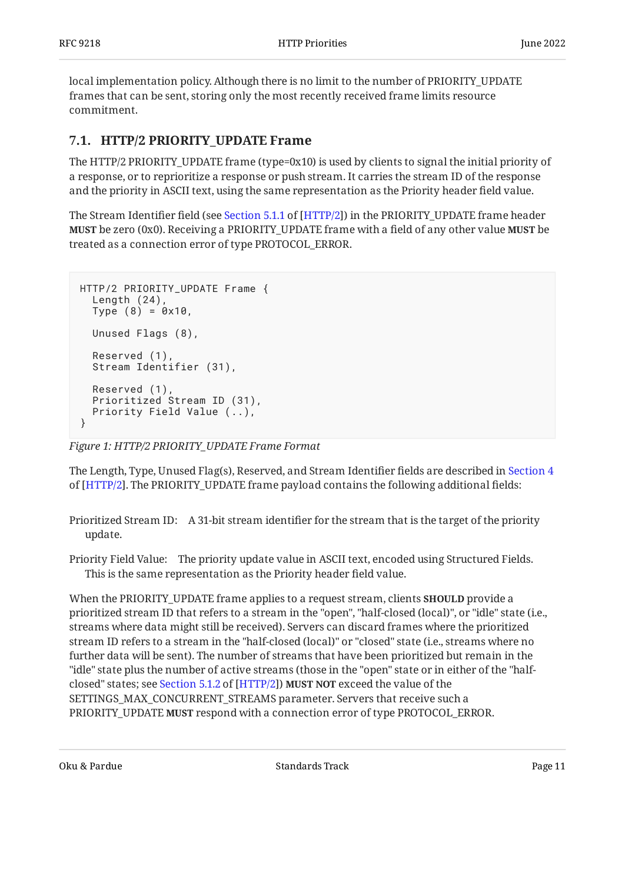local implementation policy. Although there is no limit to the number of PRIORITY\_UPDATE frames that can be sent, storing only the most recently received frame limits resource commitment.

#### <span id="page-10-0"></span>**[7.1. HTTP/2 PRIORITY\\_UPDATE Frame](#page-10-0)**

The HTTP/2 PRIORITY\_UPDATE frame (type=0x10) is used by clients to signal the initial priority of a response, or to reprioritize a response or push stream. It carries the stream ID of the response and the priority in ASCII text, using the same representation as the Priority header field value.

TheStream Identifier field (see Section 5.1.1 of [HTTP/2]) in the PRIORITY\_UPDATE frame header **MUST** be zero (0x0). Receiving a PRIORITY\_UPDATE frame with a field of any other value **MUST** be treated as a connection error of type PROTOCOL\_ERROR.

```
HTTP/2 PRIORITY_UPDATE Frame {
   Length (24),
  Type (8) = 0 \times 10,
   Unused Flags (8),
   Reserved (1),
   Stream Identifier (31),
   Reserved (1),
   Prioritized Stream ID (31),
   Priority Field Value (..),
}
```
*[Figure 1: HTTP/2 PRIORITY\\_UPDATE Frame Format](#page-10-1)* 

The Length, Type, Unused Flag(s), Reserved, and Stream Identifier fields are described in [Section 4](https://www.rfc-editor.org/rfc/rfc9113#section-4) of [[HTTP/2](#page-18-3)]. The PRIORITY\_UPDATE frame payload contains the following additional fields:

Prioritized Stream ID: A 31-bit stream identifier for the stream that is the target of the priority update.

Priority Field Value: The priority update value in ASCII text, encoded using Structured Fields. This is the same representation as the Priority header field value.

When the PRIORITY\_UPDATE frame applies to a request stream, clients **SHOULD** provide a prioritized stream ID that refers to a stream in the "open", "half-closed (local)", or "idle" state (i.e., streams where data might still be received). Servers can discard frames where the prioritized stream ID refers to a stream in the "half-closed (local)" or "closed" state (i.e., streams where no further data will be sent). The number of streams that have been prioritized but remain in the "idle" state plus the number of active streams (those in the "open" state or in either of the "halfclosed"states; see Section 5.1.2 of [HTTP/2]) **MUST NOT** exceed the value of the SETTINGS\_MAX\_CONCURRENT\_STREAMS parameter. Servers that receive such a PRIORITY\_UPDATE **MUST** respond with a connection error of type PROTOCOL\_ERROR.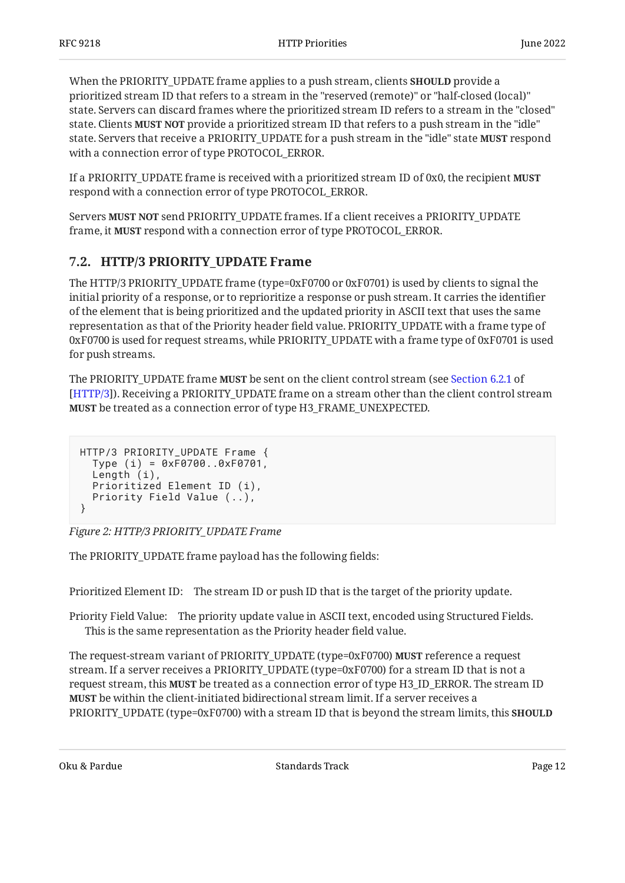When the PRIORITY\_UPDATE frame applies to a push stream, clients **SHOULD** provide a prioritized stream ID that refers to a stream in the "reserved (remote)" or "half-closed (local)" state. Servers can discard frames where the prioritized stream ID refers to a stream in the "closed" state. Clients **MUST NOT** provide a prioritized stream ID that refers to a push stream in the "idle" state. Servers that receive a PRIORITY\_UPDATE for a push stream in the "idle" state **MUST** respond with a connection error of type PROTOCOL\_ERROR.

If a PRIORITY\_UPDATE frame is received with a prioritized stream ID of 0x0, the recipient **MUST** respond with a connection error of type PROTOCOL\_ERROR.

Servers **MUST NOT** send PRIORITY\_UPDATE frames. If a client receives a PRIORITY\_UPDATE frame, it **MUST** respond with a connection error of type PROTOCOL\_ERROR.

#### <span id="page-11-0"></span>**[7.2. HTTP/3 PRIORITY\\_UPDATE Frame](#page-11-0)**

The HTTP/3 PRIORITY\_UPDATE frame (type=0xF0700 or 0xF0701) is used by clients to signal the initial priority of a response, or to reprioritize a response or push stream. It carries the identifier of the element that is being prioritized and the updated priority in ASCII text that uses the same representation as that of the Priority header field value. PRIORITY\_UPDATE with a frame type of 0xF0700 is used for request streams, while PRIORITY\_UPDATE with a frame type of 0xF0701 is used for push streams.

The PRIORITY\_UPDATE frame **MUST** be sent on the client control stream (see [Section 6.2.1](https://www.rfc-editor.org/rfc/rfc9114#section-6.2.1) of ). Receiving a PRIORITY\_UPDATE frame on a stream other than the client control stream [[HTTP/3](#page-19-1)] be treated as a connection error of type H3\_FRAME\_UNEXPECTED. **MUST**

```
HTTP/3 PRIORITY_UPDATE Frame {
   Type (i) = 0xF0700..0xF0701,
   Length (i),
   Prioritized Element ID (i),
   Priority Field Value (..),
}
```

```
Figure 2: HTTP/3 PRIORITY_UPDATE Frame
```
The PRIORITY\_UPDATE frame payload has the following fields:

Prioritized Element ID: The stream ID or push ID that is the target of the priority update.

Priority Field Value: The priority update value in ASCII text, encoded using Structured Fields. This is the same representation as the Priority header field value.

The request-stream variant of PRIORITY\_UPDATE (type=0xF0700) **MUST** reference a request stream. If a server receives a PRIORITY\_UPDATE (type=0xF0700) for a stream ID that is not a request stream, this **MUST** be treated as a connection error of type H3\_ID\_ERROR. The stream ID **MUST** be within the client-initiated bidirectional stream limit. If a server receives a PRIORITY\_UPDATE (type=0xF0700) with a stream ID that is beyond the stream limits, this **SHOULD**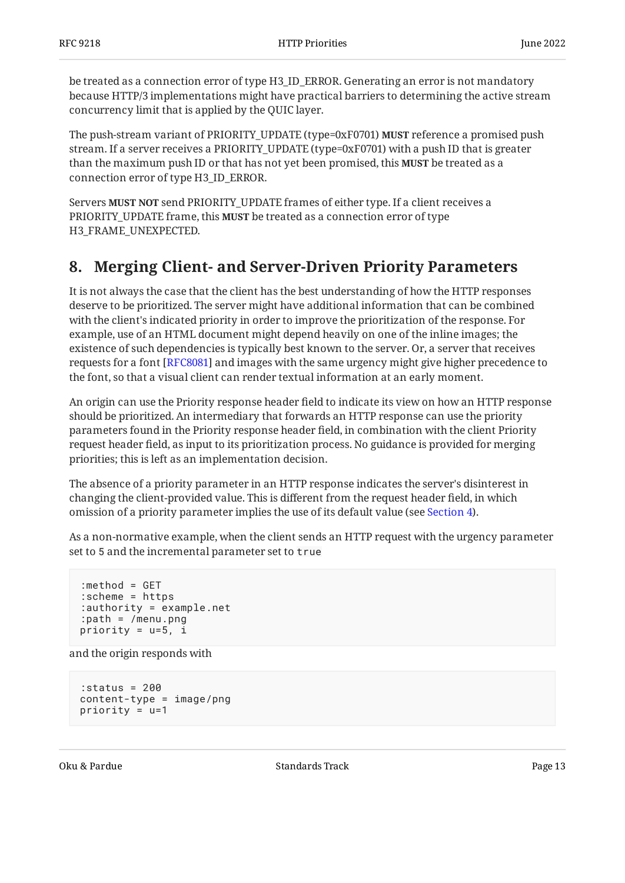be treated as a connection error of type H3\_ID\_ERROR. Generating an error is not mandatory because HTTP/3 implementations might have practical barriers to determining the active stream concurrency limit that is applied by the QUIC layer.

The push-stream variant of PRIORITY\_UPDATE (type=0xF0701) **MUST** reference a promised push stream. If a server receives a PRIORITY\_UPDATE (type=0xF0701) with a push ID that is greater than the maximum push ID or that has not yet been promised, this **MUST** be treated as a connection error of type H3\_ID\_ERROR.

Servers MUST NOT send PRIORITY\_UPDATE frames of either type. If a client receives a PRIORITY\_UPDATE frame, this **MUST** be treated as a connection error of type H3\_FRAME\_UNEXPECTED.

### <span id="page-12-0"></span>**[8. Merging Client- and Server-Driven Priority Parameters](#page-12-0)**

It is not always the case that the client has the best understanding of how the HTTP responses deserve to be prioritized. The server might have additional information that can be combined with the client's indicated priority in order to improve the prioritization of the response. For example, use of an HTML document might depend heavily on one of the inline images; the existence of such dependencies is typically best known to the server. Or, a server that receives requests for a font [[RFC8081\]](#page-20-2) and images with the same urgency might give higher precedence to the font, so that a visual client can render textual information at an early moment.

An origin can use the Priority response header field to indicate its view on how an HTTP response should be prioritized. An intermediary that forwards an HTTP response can use the priority parameters found in the Priority response header field, in combination with the client Priority request header field, as input to its prioritization process. No guidance is provided for merging priorities; this is left as an implementation decision.

The absence of a priority parameter in an HTTP response indicates the server's disinterest in changing the client-provided value. This is different from the request header field, in which omission of a priority parameter implies the use of its default value (see [Section 4\)](#page-5-2).

As a non-normative example, when the client sends an HTTP request with the urgency parameter set to 5 and the incremental parameter set to true

```
:method = GET
:scheme = https
:authority = example.net
:path = /menu.png
priority = u=5, i
```
and the origin responds with

```
:status = 200
content-type = image/png
priority = u=1
```
Oku & Pardue Track Page 13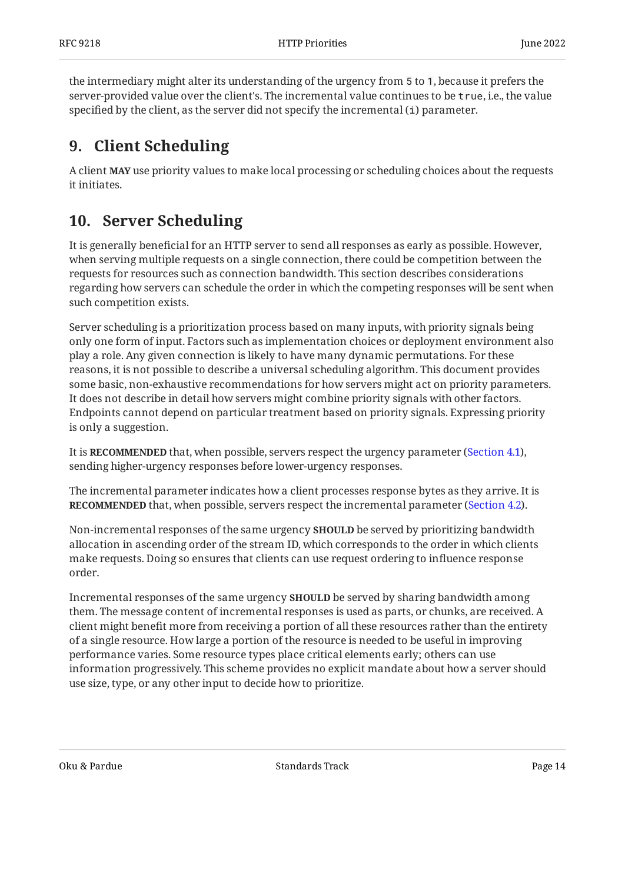the intermediary might alter its understanding of the urgency from 5 to 1, because it prefers the server-provided value over the client's. The incremental value continues to be true, i.e., the value specified by the client, as the server did not specify the incremental (i) parameter.

### <span id="page-13-0"></span>**[9. Client Scheduling](#page-13-0)**

<span id="page-13-1"></span>A client **MAY** use priority values to make local processing or scheduling choices about the requests it initiates.

### **[10. Server Scheduling](#page-13-1)**

It is generally beneficial for an HTTP server to send all responses as early as possible. However, when serving multiple requests on a single connection, there could be competition between the requests for resources such as connection bandwidth. This section describes considerations regarding how servers can schedule the order in which the competing responses will be sent when such competition exists.

Server scheduling is a prioritization process based on many inputs, with priority signals being only one form of input. Factors such as implementation choices or deployment environment also play a role. Any given connection is likely to have many dynamic permutations. For these reasons, it is not possible to describe a universal scheduling algorithm. This document provides some basic, non-exhaustive recommendations for how servers might act on priority parameters. It does not describe in detail how servers might combine priority signals with other factors. Endpoints cannot depend on particular treatment based on priority signals. Expressing priority is only a suggestion.

It is **RECOMMENDED** that, when possible, servers respect the urgency parameter [\(Section 4.1](#page-6-0)), sending higher-urgency responses before lower-urgency responses.

The incremental parameter indicates how a client processes response bytes as they arrive. It is **RECOMMENDED** that, when possible, servers respect the incremental parameter ([Section 4.2](#page-7-0)).

Non-incremental responses of the same urgency **SHOULD** be served by prioritizing bandwidth allocation in ascending order of the stream ID, which corresponds to the order in which clients make requests. Doing so ensures that clients can use request ordering to influence response order.

Incremental responses of the same urgency **SHOULD** be served by sharing bandwidth among them. The message content of incremental responses is used as parts, or chunks, are received. A client might benefit more from receiving a portion of all these resources rather than the entirety of a single resource. How large a portion of the resource is needed to be useful in improving performance varies. Some resource types place critical elements early; others can use information progressively. This scheme provides no explicit mandate about how a server should use size, type, or any other input to decide how to prioritize.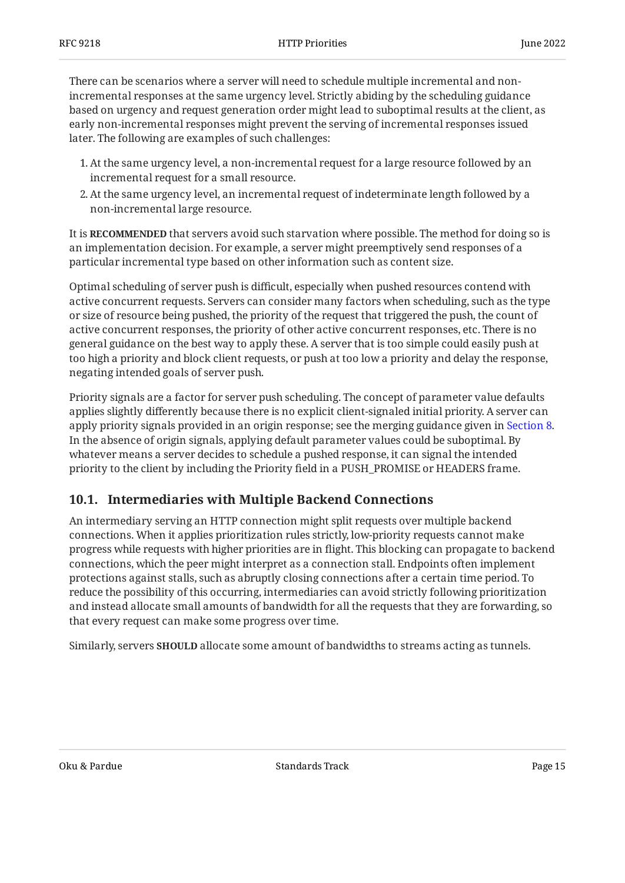There can be scenarios where a server will need to schedule multiple incremental and nonincremental responses at the same urgency level. Strictly abiding by the scheduling guidance based on urgency and request generation order might lead to suboptimal results at the client, as early non-incremental responses might prevent the serving of incremental responses issued later. The following are examples of such challenges:

- At the same urgency level, a non-incremental request for a large resource followed by an 1. incremental request for a small resource.
- At the same urgency level, an incremental request of indeterminate length followed by a 2. non-incremental large resource.

It is **RECOMMENDED** that servers avoid such starvation where possible. The method for doing so is an implementation decision. For example, a server might preemptively send responses of a particular incremental type based on other information such as content size.

Optimal scheduling of server push is difficult, especially when pushed resources contend with active concurrent requests. Servers can consider many factors when scheduling, such as the type or size of resource being pushed, the priority of the request that triggered the push, the count of active concurrent responses, the priority of other active concurrent responses, etc. There is no general guidance on the best way to apply these. A server that is too simple could easily push at too high a priority and block client requests, or push at too low a priority and delay the response, negating intended goals of server push.

Priority signals are a factor for server push scheduling. The concept of parameter value defaults applies slightly differently because there is no explicit client-signaled initial priority. A server can apply priority signals provided in an origin response; see the merging guidance given in [Section 8.](#page-12-0) In the absence of origin signals, applying default parameter values could be suboptimal. By whatever means a server decides to schedule a pushed response, it can signal the intended priority to the client by including the Priority field in a PUSH\_PROMISE or HEADERS frame.

#### <span id="page-14-0"></span>**[10.1. Intermediaries with Multiple Backend Connections](#page-14-0)**

An intermediary serving an HTTP connection might split requests over multiple backend connections. When it applies prioritization rules strictly, low-priority requests cannot make progress while requests with higher priorities are in flight. This blocking can propagate to backend connections, which the peer might interpret as a connection stall. Endpoints often implement protections against stalls, such as abruptly closing connections after a certain time period. To reduce the possibility of this occurring, intermediaries can avoid strictly following prioritization and instead allocate small amounts of bandwidth for all the requests that they are forwarding, so that every request can make some progress over time.

Similarly, servers **SHOULD** allocate some amount of bandwidths to streams acting as tunnels.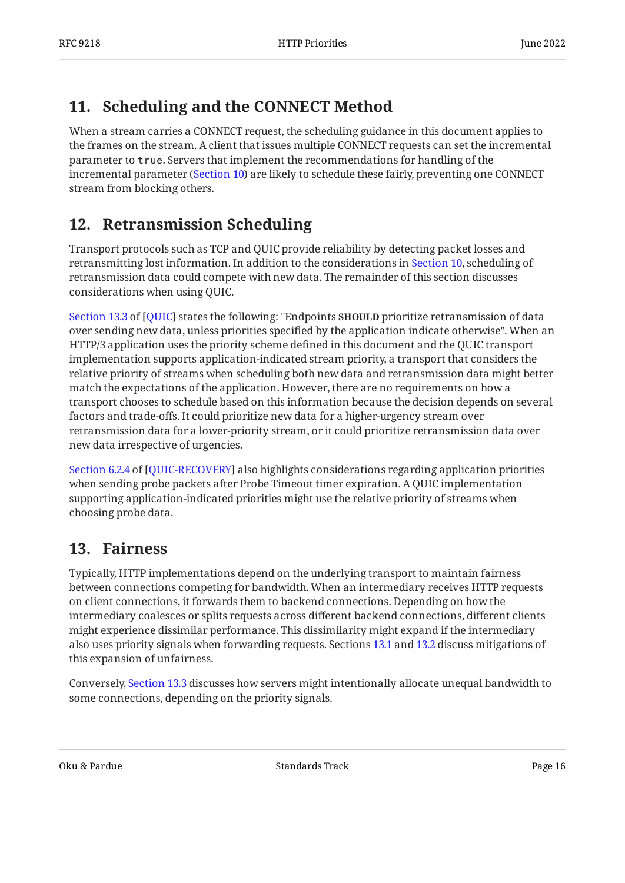# <span id="page-15-0"></span>**[11. Scheduling and the CONNECT Method](#page-15-0)**

When a stream carries a CONNECT request, the scheduling guidance in this document applies to the frames on the stream. A client that issues multiple CONNECT requests can set the incremental parameter to true. Servers that implement the recommendations for handling of the incremental parameter [\(Section 10](#page-13-1)) are likely to schedule these fairly, preventing one CONNECT stream from blocking others.

### <span id="page-15-1"></span>**[12. Retransmission Scheduling](#page-15-1)**

Transport protocols such as TCP and QUIC provide reliability by detecting packet losses and retransmitting lost information. In addition to the considerations in [Section 10](#page-13-1), scheduling of retransmission data could compete with new data. The remainder of this section discusses considerations when using QUIC.

[Section 13.3](https://www.rfc-editor.org/rfc/rfc9000#section-13.3) of [\[QUIC](#page-19-6)] states the following: "Endpoints **SHOULD** prioritize retransmission of data over sending new data, unless priorities specified by the application indicate otherwise". When an HTTP/3 application uses the priority scheme defined in this document and the QUIC transport implementation supports application-indicated stream priority, a transport that considers the relative priority of streams when scheduling both new data and retransmission data might better match the expectations of the application. However, there are no requirements on how a transport chooses to schedule based on this information because the decision depends on several factors and trade-offs. It could prioritize new data for a higher-urgency stream over retransmission data for a lower-priority stream, or it could prioritize retransmission data over new data irrespective of urgencies.

[Section 6.2.4](https://www.rfc-editor.org/rfc/rfc9002#section-6.2.4) of [[QUIC-RECOVERY\]](#page-19-10) also highlights considerations regarding application priorities when sending probe packets after Probe Timeout timer expiration. A QUIC implementation supporting application-indicated priorities might use the relative priority of streams when choosing probe data.

### <span id="page-15-2"></span>**[13. Fairness](#page-15-2)**

Typically, HTTP implementations depend on the underlying transport to maintain fairness between connections competing for bandwidth. When an intermediary receives HTTP requests on client connections, it forwards them to backend connections. Depending on how the intermediary coalesces or splits requests across different backend connections, different clients might experience dissimilar performance. This dissimilarity might expand if the intermediary also uses priority signals when forwarding requests. Sections [13.1](#page-16-0) and [13.2](#page-16-1) discuss mitigations of this expansion of unfairness.

Conversely, [Section 13.3](#page-16-2) discusses how servers might intentionally allocate unequal bandwidth to some connections, depending on the priority signals.

Oku & Pardue Track Page 16 and a Standards Track Page 16 and 20 and 20 and 20 and 20 and 20 and 20 and 20 and 20 and 20 and 20 and 20 and 20 and 20 and 20 and 20 and 20 and 20 and 20 and 20 and 20 and 20 and 20 and 20 and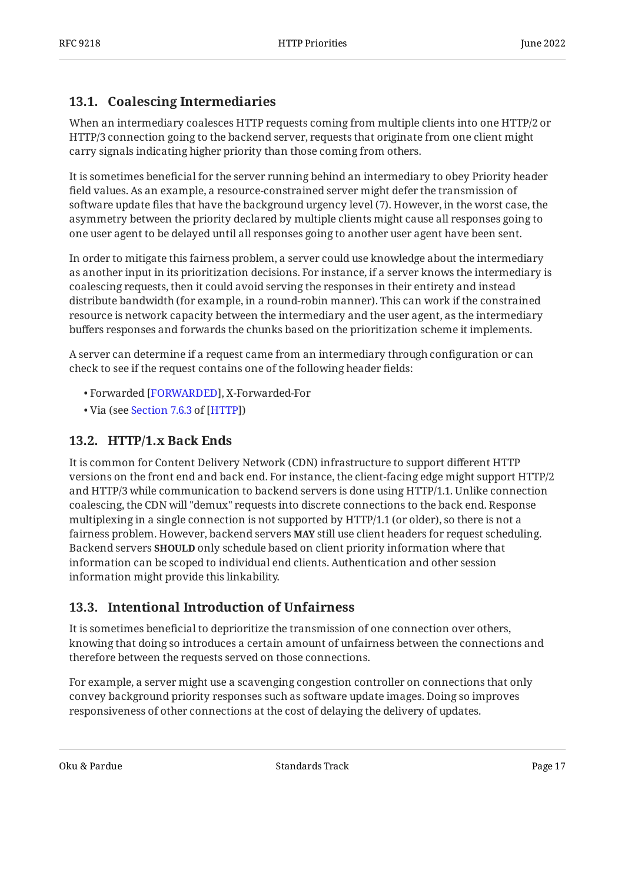#### <span id="page-16-0"></span>**[13.1. Coalescing Intermediaries](#page-16-0)**

When an intermediary coalesces HTTP requests coming from multiple clients into one HTTP/2 or HTTP/3 connection going to the backend server, requests that originate from one client might carry signals indicating higher priority than those coming from others.

It is sometimes beneficial for the server running behind an intermediary to obey Priority header field values. As an example, a resource-constrained server might defer the transmission of software update files that have the background urgency level (7). However, in the worst case, the asymmetry between the priority declared by multiple clients might cause all responses going to one user agent to be delayed until all responses going to another user agent have been sent.

In order to mitigate this fairness problem, a server could use knowledge about the intermediary as another input in its prioritization decisions. For instance, if a server knows the intermediary is coalescing requests, then it could avoid serving the responses in their entirety and instead distribute bandwidth (for example, in a round-robin manner). This can work if the constrained resource is network capacity between the intermediary and the user agent, as the intermediary buffers responses and forwards the chunks based on the prioritization scheme it implements.

A server can determine if a request came from an intermediary through configuration or can check to see if the request contains one of the following header fields:

- Forwarded [[FORWARDED\]](#page-19-11), X-Forwarded-For
- <span id="page-16-1"></span>• Via (see <mark>[Section 7.6.3](https://www.rfc-editor.org/rfc/rfc9110#section-7.6.3) of [[HTTP\]](#page-18-2)</mark>)

#### **[13.2. HTTP/1.x Back Ends](#page-16-1)**

It is common for Content Delivery Network (CDN) infrastructure to support different HTTP versions on the front end and back end. For instance, the client-facing edge might support HTTP/2 and HTTP/3 while communication to backend servers is done using HTTP/1.1. Unlike connection coalescing, the CDN will "demux" requests into discrete connections to the back end. Response multiplexing in a single connection is not supported by HTTP/1.1 (or older), so there is not a fairness problem. However, backend servers **MAY** still use client headers for request scheduling. Backend servers **SHOULD** only schedule based on client priority information where that information can be scoped to individual end clients. Authentication and other session information might provide this linkability.

#### <span id="page-16-2"></span>**[13.3. Intentional Introduction of Unfairness](#page-16-2)**

It is sometimes beneficial to deprioritize the transmission of one connection over others, knowing that doing so introduces a certain amount of unfairness between the connections and therefore between the requests served on those connections.

For example, a server might use a scavenging congestion controller on connections that only convey background priority responses such as software update images. Doing so improves responsiveness of other connections at the cost of delaying the delivery of updates.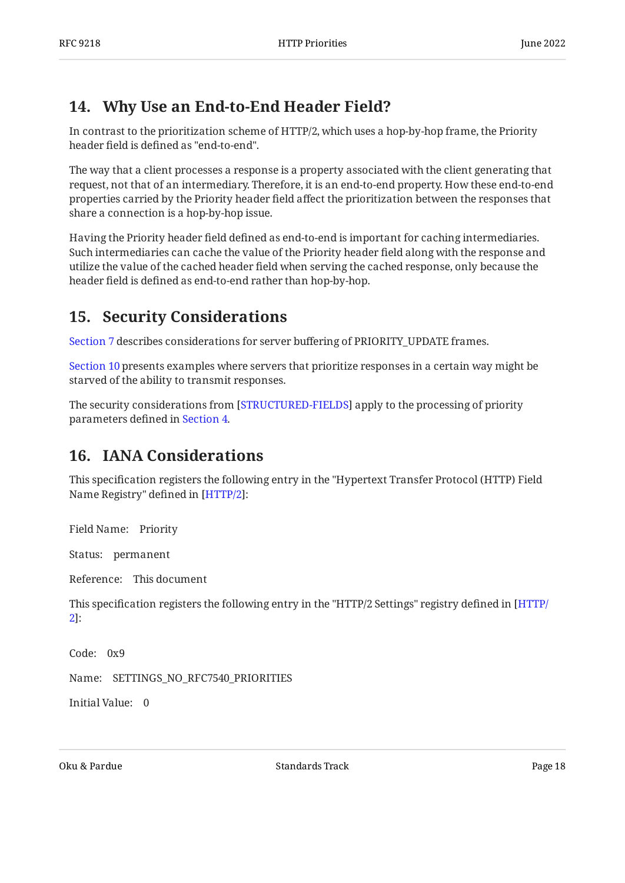### <span id="page-17-0"></span>**[14. Why Use an End-to-End Header Field?](#page-17-0)**

In contrast to the prioritization scheme of HTTP/2, which uses a hop-by-hop frame, the Priority header field is defined as "end-to-end".

The way that a client processes a response is a property associated with the client generating that request, not that of an intermediary. Therefore, it is an end-to-end property. How these end-to-end properties carried by the Priority header field affect the prioritization between the responses that share a connection is a hop-by-hop issue.

Having the Priority header field defined as end-to-end is important for caching intermediaries. Such intermediaries can cache the value of the Priority header field along with the response and utilize the value of the cached header field when serving the cached response, only because the header field is defined as end-to-end rather than hop-by-hop.

### <span id="page-17-1"></span>**[15. Security Considerations](#page-17-1)**

[Section 7](#page-9-1) describes considerations for server buffering of PRIORITY\_UPDATE frames.

[Section 10](#page-13-1) presents examples where servers that prioritize responses in a certain way might be starved of the ability to transmit responses.

<span id="page-17-2"></span>The security considerations from [STRUCTURED-FIELDS] apply to the processing of priority parameters defined in [Section 4.](#page-5-2)

### **[16. IANA Considerations](#page-17-2)**

This specification registers the following entry in the "Hypertext Transfer Protocol (HTTP) Field Name Registry" defined in [HTTP/2]:

Field Name: Priority

Status: permanent

Reference: This document

This specification registers the following entry in the "HTTP/2 Settings" registry defined in [\[HTTP/](#page-18-3) : [2](#page-18-3)]

Code: 0x9

Name: SETTINGS\_NO\_RFC7540\_PRIORITIES

Initial Value: 0

Oku & Pardue Track Page 18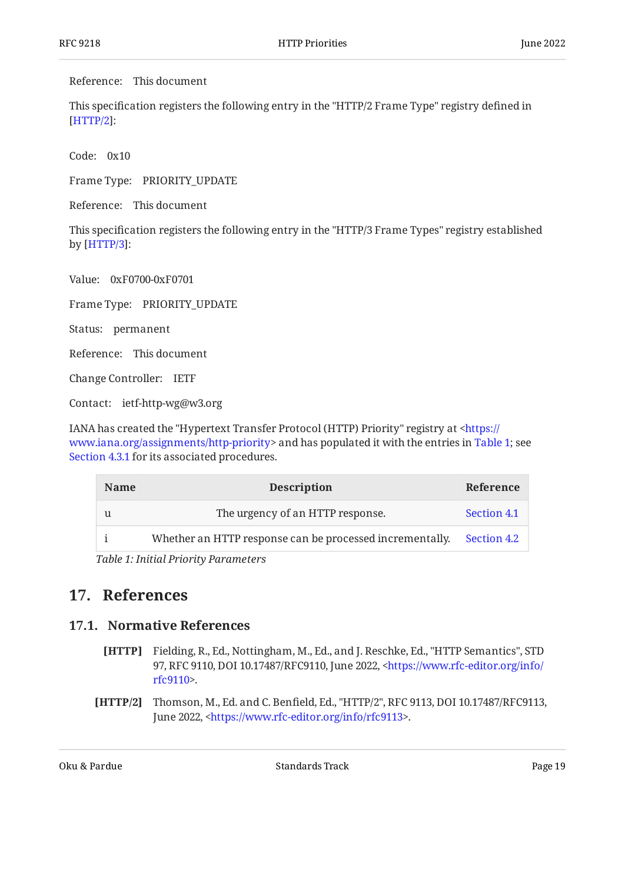Reference: This document

This specification registers the following entry in the "HTTP/2 Frame Type" registry defined in : [[HTTP/2](#page-18-3)]

Code: 0x10

Frame Type: PRIORITY\_UPDATE

Reference: This document

This specification registers the following entry in the "HTTP/3 Frame Types" registry established by [HTTP/3]:

Value: 0xF0700-0xF0701

Frame Type: PRIORITY\_UPDATE

Status: permanent

Reference: This document

Change Controller: IETF

Contact: ietf-http-wg@w3.org

IANA has created the "Hypertext Transfer Protocol (HTTP) Priority" registry at [<https://](https://www.iana.org/assignments/http-priority) www.iana.org/assignments/http-priority> and has populated it with the entries in [Table 1;](#page-18-4) see [Section 4.3.1](#page-8-0) for its associated procedures.

<span id="page-18-5"></span><span id="page-18-4"></span>

| <b>Name</b>                                    | <b>Description</b>                                                   | Reference   |
|------------------------------------------------|----------------------------------------------------------------------|-------------|
|                                                | The urgency of an HTTP response.                                     | Section 4.1 |
|                                                | Whether an HTTP response can be processed incrementally. Section 4.2 |             |
| $T_2$ $h$ le 1. Initial Duionity Dangue at ano |                                                                      |             |

*[Table 1](#page-18-5): [Initial Priority Parameters](#page-18-4)* 

#### <span id="page-18-1"></span><span id="page-18-0"></span>**[17. References](#page-18-0)**

#### <span id="page-18-2"></span>**[17.1. Normative References](#page-18-1)**

- **[HTTP]** Fielding, R., Ed., Nottingham, M., Ed., and J. Reschke, Ed., "HTTP Semantics", STD 97, RFC 9110, DOI 10.17487/RFC9110, June 2022, [<https://www.rfc-editor.org/info/](https://www.rfc-editor.org/info/rfc9110) . [rfc9110](https://www.rfc-editor.org/info/rfc9110)>
- <span id="page-18-3"></span>**[HTTP/2]** Thomson, M., Ed. and C. Benfield, Ed., "HTTP/2", RFC 9113, DOI 10.17487/RFC9113, June 2022, <https://www.rfc-editor.org/info/rfc9113>.

Oku & Pardue Track Page 19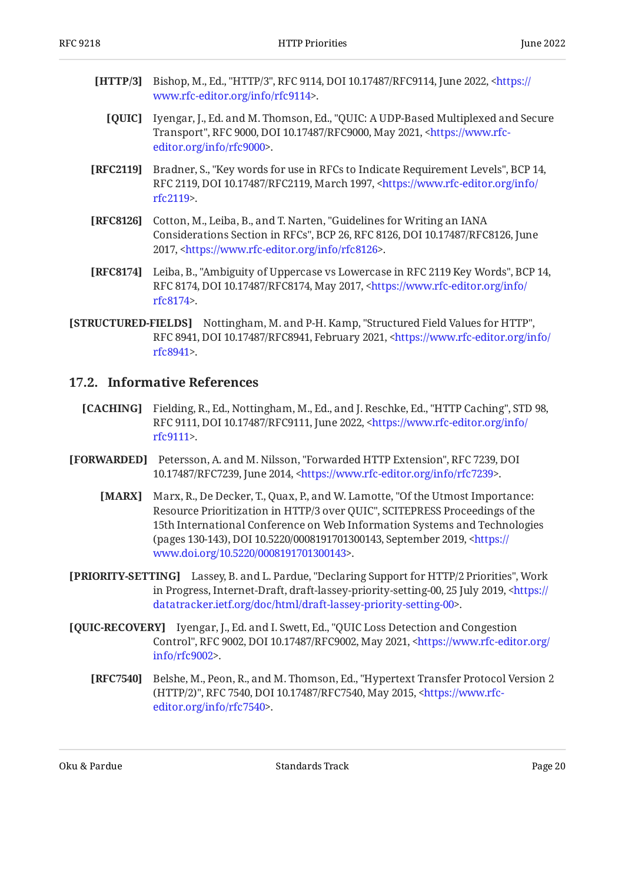- <span id="page-19-6"></span><span id="page-19-1"></span>**[HTTP/3]** Bishop, M., Ed., "HTTP/3", RFC 9114, DOI 10.17487/RFC9114, June 2022, [<https://](https://www.rfc-editor.org/info/rfc9114) . [www.rfc-editor.org/info/rfc9114>](https://www.rfc-editor.org/info/rfc9114)
	- **[QUIC]** Iyengar, J., Ed. and M. Thomson, Ed., "QUIC: A UDP-Based Multiplexed and Secure Transport", RFC 9000, DOI 10.17487/RFC9000, May 2021, [<https://www.rfc-](https://www.rfc-editor.org/info/rfc9000). [editor.org/info/rfc9000](https://www.rfc-editor.org/info/rfc9000)>
- <span id="page-19-3"></span>**[RFC2119]** Bradner, S., "Key words for use in RFCs to Indicate Requirement Levels", BCP 14, RFC 2119, DOI 10.17487/RFC2119, March 1997, [<https://www.rfc-editor.org/info/](https://www.rfc-editor.org/info/rfc2119) . [rfc2119](https://www.rfc-editor.org/info/rfc2119)>
- <span id="page-19-8"></span>**[RFC8126]** Cotton, M., Leiba, B., and T. Narten, "Guidelines for Writing an IANA Considerations Section in RFCs", BCP 26, RFC 8126, DOI 10.17487/RFC8126, June 2017, <https://www.rfc-editor.org/info/rfc8126>.
- <span id="page-19-4"></span>**[RFC8174]** Leiba, B., "Ambiguity of Uppercase vs Lowercase in RFC 2119 Key Words", BCP 14, RFC 8174, DOI 10.17487/RFC8174, May 2017, <[https://www.rfc-editor.org/info/](https://www.rfc-editor.org/info/rfc8174) . [rfc8174](https://www.rfc-editor.org/info/rfc8174)>
- <span id="page-19-5"></span>**[STRUCTURED-FIELDS]** Nottingham, M. and P-H. Kamp, "Structured Field Values for HTTP", RFC 8941, DOI 10.17487/RFC8941, February 2021, [<https://www.rfc-editor.org/info/](https://www.rfc-editor.org/info/rfc8941) . [rfc8941](https://www.rfc-editor.org/info/rfc8941)>

#### <span id="page-19-0"></span>**[17.2. Informative References](#page-19-0)**

- <span id="page-19-9"></span>**[CACHING]** Fielding, R., Ed., Nottingham, M., Ed., and J. Reschke, Ed., "HTTP Caching", STD 98, RFC 9111, DOI 10.17487/RFC9111, June 2022, [<https://www.rfc-editor.org/info/](https://www.rfc-editor.org/info/rfc9111) . [rfc9111](https://www.rfc-editor.org/info/rfc9111)>
- <span id="page-19-11"></span><span id="page-19-7"></span>**[FORWARDED]** Petersson, A. and M. Nilsson, "Forwarded HTTP Extension", RFC 7239, DOI 10.17487/RFC7239, June 2014, <https://www.rfc-editor.org/info/rfc7239>.
	- **[MARX]** Marx, R., De Decker, T., Quax, P., and W. Lamotte, "Of the Utmost Importance: Resource Prioritization in HTTP/3 over QUIC", SCITEPRESS Proceedings of the (pages 130-143), DOI 10.5220/0008191701300143, September 2019, [<https://](https://www.doi.org/10.5220/0008191701300143) . [www.doi.org/10.5220/0008191701300143>](https://www.doi.org/10.5220/0008191701300143) 15th International Conference on Web Information Systems and Technologies
- <span id="page-19-12"></span>**[PRIORITY-SETTING]** Lassey, B. and L. Pardue, "Declaring Support for HTTP/2 Priorities", Work in Progress, Internet-Draft, draft-lassey-priority-setting-00, 25 July 2019, [<https://](https://datatracker.ietf.org/doc/html/draft-lassey-priority-setting-00) . [datatracker.ietf.org/doc/html/draft-lassey-priority-setting-00](https://datatracker.ietf.org/doc/html/draft-lassey-priority-setting-00)>
- <span id="page-19-10"></span><span id="page-19-2"></span>**[QUIC-RECOVERY]** Iyengar, J., Ed. and I. Swett, Ed., "QUIC Loss Detection and Congestion Control", RFC 9002, DOI 10.17487/RFC9002, May 2021, [<https://www.rfc-editor.org/](https://www.rfc-editor.org/info/rfc9002) . [info/rfc9002>](https://www.rfc-editor.org/info/rfc9002)
	- **[RFC7540]** Belshe, M., Peon, R., and M. Thomson, Ed., "Hypertext Transfer Protocol Version 2 (HTTP/2)", RFC 7540, DOI 10.17487/RFC7540, May 2015, [<https://www.rfc-](https://www.rfc-editor.org/info/rfc7540). [editor.org/info/rfc7540](https://www.rfc-editor.org/info/rfc7540)>